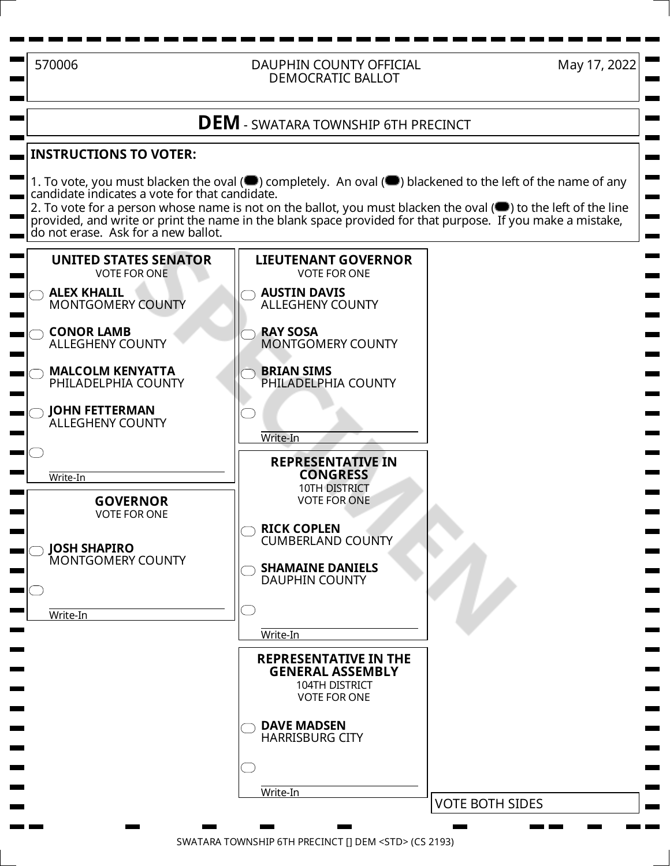## 570006 DAUPHIN COUNTY OFFICIAL DEMOCRATIC BALLOT

May 17, 2022

## **DEM** - SWATARA TOWNSHIP 6TH PRECINCT

## **INSTRUCTIONS TO VOTER:**

1. To vote, you must blacken the oval (●) completely. An oval (●) blackened to the left of the name of any candidate indicates a vote for that candidate.

2. To vote for a person whose name is not on the ballot, you must blacken the oval ( $\blacksquare$ ) to the left of the line provided, and write or print the name in the blank space provided for that purpose. If you make a mistake, do not erase. Ask for a new ballot.